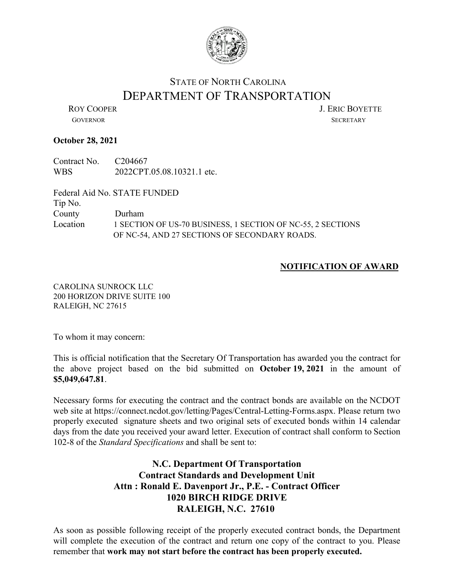

## STATE OF NORTH CAROLINA DEPARTMENT OF TRANSPORTATION<br>LERIC BOYETTE

GOVERNOR SECRETARY

## **October 28, 2021**

Contract No. C204667 WBS 2022CPT.05.08.10321.1 etc.

Federal Aid No. STATE FUNDED Tip No. County Durham Location 1 SECTION OF US-70 BUSINESS, 1 SECTION OF NC-55, 2 SECTIONS OF NC-54, AND 27 SECTIONS OF SECONDARY ROADS.

## **NOTIFICATION OF AWARD**

CAROLINA SUNROCK LLC 200 HORIZON DRIVE SUITE 100 RALEIGH, NC 27615

To whom it may concern:

This is official notification that the Secretary Of Transportation has awarded you the contract for the above project based on the bid submitted on **October 19, 2021** in the amount of **\$5,049,647.81**.

Necessary forms for executing the contract and the contract bonds are available on the NCDOT web site at https://connect.ncdot.gov/letting/Pages/Central-Letting-Forms.aspx. Please return two properly executed signature sheets and two original sets of executed bonds within 14 calendar days from the date you received your award letter. Execution of contract shall conform to Section 102-8 of the *Standard Specifications* and shall be sent to:

## **N.C. Department Of Transportation Contract Standards and Development Unit Attn : Ronald E. Davenport Jr., P.E. - Contract Officer 1020 BIRCH RIDGE DRIVE RALEIGH, N.C. 27610**

As soon as possible following receipt of the properly executed contract bonds, the Department will complete the execution of the contract and return one copy of the contract to you. Please remember that **work may not start before the contract has been properly executed.**